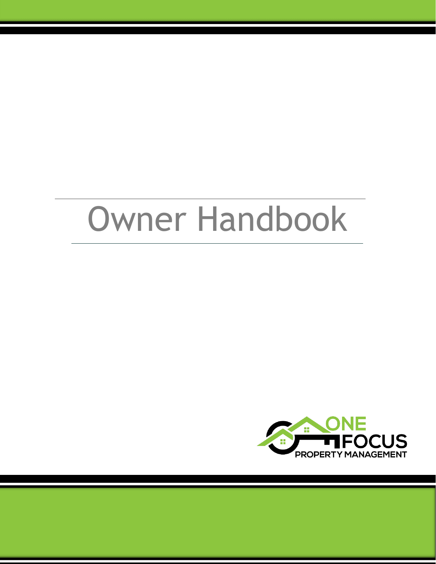# Owner Handbook

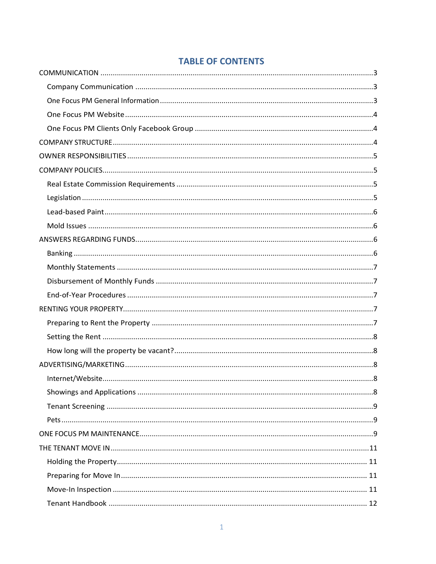# **TABLE OF CONTENTS**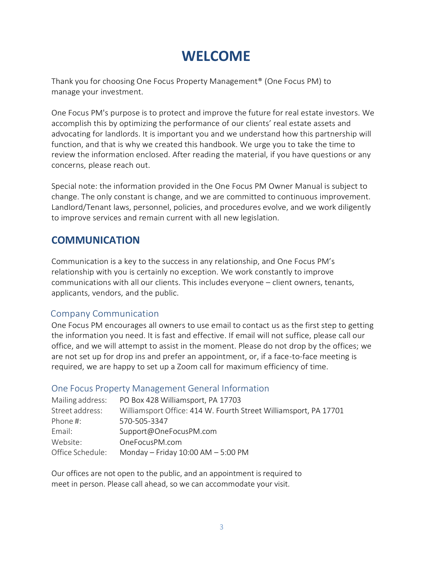# **WELCOME**

Thank you for choosing One Focus Property Management® (One Focus PM) to manage your investment.

One Focus PM's purpose is to protect and improve the future for real estate investors. We accomplish this by optimizing the performance of our clients' real estate assets and advocating for landlords. It is important you and we understand how this partnership will function, and that is why we created this handbook. We urge you to take the time to review the information enclosed. After reading the material, if you have questions or any concerns, please reach out.

Special note: the information provided in the One Focus PM Owner Manual is subject to change. The only constant is change, and we are committed to continuous improvement. Landlord/Tenant laws, personnel, policies, and procedures evolve, and we work diligently to improve services and remain current with all new legislation.

# <span id="page-3-0"></span>**COMMUNICATION**

Communication is a key to the success in any relationship, and One Focus PM's relationship with you is certainly no exception. We work constantly to improve communications with all our clients. This includes everyone – client owners, tenants, applicants, vendors, and the public.

# <span id="page-3-1"></span>Company Communication

One Focus PM encourages all owners to use email to contact us as the first step to getting the information you need. It is fast and effective. If email will not suffice, please call our office, and we will attempt to assist in the moment. Please do not drop by the offices; we are not set up for drop ins and prefer an appointment, or, if a face-to-face meeting is required, we are happy to set up a Zoom call for maximum efficiency of time.

# <span id="page-3-2"></span>One Focus Property Management General Information

| Mailing address: | PO Box 428 Williamsport, PA 17703                                |
|------------------|------------------------------------------------------------------|
| Street address:  | Williamsport Office: 414 W. Fourth Street Williamsport, PA 17701 |
| Phone #:         | 570-505-3347                                                     |
| Email:           | Support@OneFocusPM.com                                           |
| Website:         | OneFocusPM.com                                                   |
| Office Schedule: | Monday - Friday $10:00$ AM - 5:00 PM                             |

Our offices are not open to the public, and an appointment is required to meet in person. Please call ahead, so we can accommodate your visit.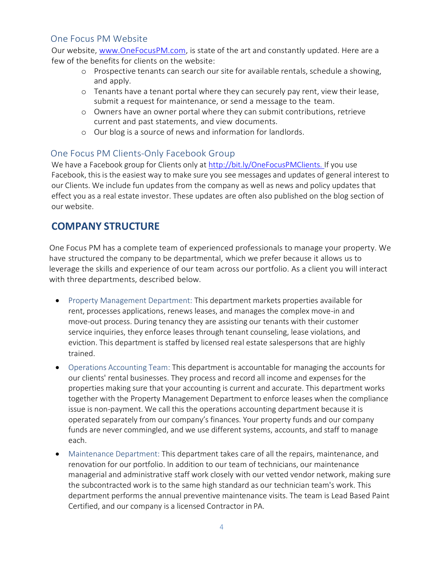# <span id="page-4-0"></span>One Focus PM Website

Our website, [www.OneFocusPM.com,](http://www.onefocuspm.com/) is state of the art and constantly updated. Here are a few of the benefits for clients on the website:

- o Prospective tenants can search our site for available rentals, schedule a showing, and apply.
- o Tenants have a tenant portal where they can securely pay rent, view their lease, submit a request for maintenance, or send a message to the team.
- o Owners have an owner portal where they can submit contributions, retrieve current and past statements, and view documents.
- o Our blog is a source of news and information for landlords.

# <span id="page-4-1"></span>One Focus PM Clients-Only Facebook Group

We have a Facebook group for Clients only at [http://bit.ly/OneFocusPMClients. I](http://bit.ly/OneFocusPMClients)f you use Facebook, this is the easiest way to make sure you see messages and updates of general interest to our Clients. We include fun updates from the company as well as news and policy updates that effect you as a real estate investor. These updates are often also published on the blog section of our website.

# <span id="page-4-2"></span>**COMPANY STRUCTURE**

One Focus PM has a complete team of experienced professionals to manage your property. We have structured the company to be departmental, which we prefer because it allows us to leverage the skills and experience of our team across our portfolio. As a client you will interact with three departments, described below.

- Property Management Department: This department markets properties available for rent, processes applications, renews leases, and manages the complex move-in and move-out process. During tenancy they are assisting our tenants with their customer service inquiries, they enforce leases through tenant counseling, lease violations, and eviction. This department is staffed by licensed real estate salespersons that are highly trained.
- Operations Accounting Team: This department is accountable for managing the accounts for our clients' rental businesses. They process and record all income and expenses for the properties making sure that your accounting is current and accurate. This department works together with the Property Management Department to enforce leases when the compliance issue is non-payment. We call this the operations accounting department because it is operated separately from our company's finances. Your property funds and our company funds are never commingled, and we use different systems, accounts, and staff to manage each.
- Maintenance Department: This department takes care of all the repairs, maintenance, and renovation for our portfolio. In addition to our team of technicians, our maintenance managerial and administrative staff work closely with our vetted vendor network, making sure the subcontracted work is to the same high standard as our technician team's work. This department performs the annual preventive maintenance visits. The team is Lead Based Paint Certified, and our company is a licensed Contractor in PA.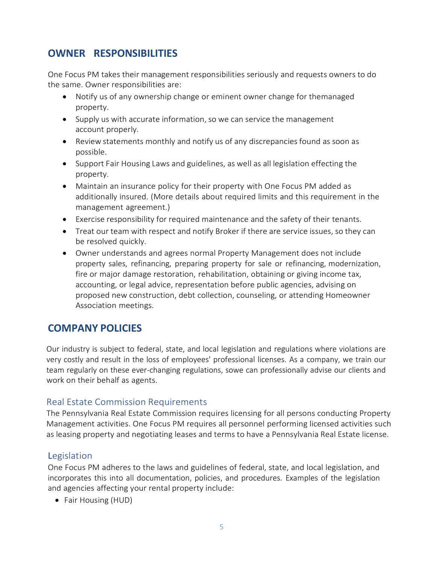# <span id="page-5-0"></span>**OWNER RESPONSIBILITIES**

One Focus PM takes their management responsibilities seriously and requests owners to do the same. Owner responsibilities are:

- Notify us of any ownership change or eminent owner change for themanaged property.
- Supply us with accurate information, so we can service the management account properly.
- Review statements monthly and notify us of any discrepancies found as soon as possible.
- Support Fair Housing Laws and guidelines, as well as all legislation effecting the property.
- Maintain an insurance policy for their property with One Focus PM added as additionally insured. (More details about required limits and this requirement in the management agreement.)
- Exercise responsibility for required maintenance and the safety of their tenants.
- Treat our team with respect and notify Broker if there are service issues, so they can be resolved quickly.
- Owner understands and agrees normal Property Management does not include property sales, refinancing, preparing property for sale or refinancing, modernization, fire or major damage restoration, rehabilitation, obtaining or giving income tax, accounting, or legal advice, representation before public agencies, advising on proposed new construction, debt collection, counseling, or attending Homeowner Association meetings.

# <span id="page-5-1"></span>**COMPANY POLICIES**

Our industry is subject to federal, state, and local legislation and regulations where violations are very costly and result in the loss of employees' professional licenses. As a company, we train our team regularly on these ever-changing regulations, sowe can professionally advise our clients and work on their behalf as agents.

# <span id="page-5-2"></span>Real Estate Commission Requirements

The Pennsylvania Real Estate Commission requires licensing for all persons conducting Property Management activities. One Focus PM requires all personnel performing licensed activities such as leasing property and negotiating leases and terms to have a Pennsylvania Real Estate license.

# <span id="page-5-3"></span>Legislation

One Focus PM adheres to the laws and guidelines of federal, state, and local legislation, and incorporates this into all documentation, policies, and procedures. Examples of the legislation and agencies affecting your rental property include:

• Fair Housing (HUD)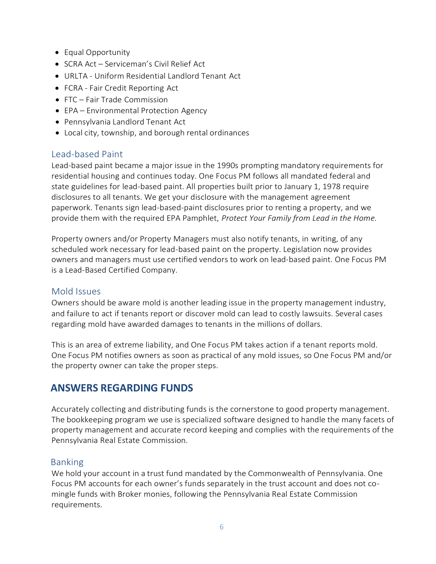- Equal Opportunity
- SCRA Act Serviceman's Civil Relief Act
- URLTA Uniform Residential Landlord Tenant Act
- FCRA Fair Credit Reporting Act
- FTC Fair Trade Commission
- EPA Environmental Protection Agency
- Pennsylvania Landlord Tenant Act
- Local city, township, and borough rental ordinances

# <span id="page-6-0"></span>Lead-based Paint

Lead-based paint became a major issue in the 1990s prompting mandatory requirements for residential housing and continues today. One Focus PM follows all mandated federal and state guidelines for lead-based paint. All properties built prior to January 1, 1978 require disclosures to all tenants. We get your disclosure with the management agreement paperwork. Tenants sign lead-based-paint disclosures prior to renting a property, and we provide them with the required EPA Pamphlet, *Protect Your Family from Lead in the Home.*

Property owners and/or Property Managers must also notify tenants, in writing, of any scheduled work necessary for lead-based paint on the property. Legislation now provides owners and managers must use certified vendors to work on lead-based paint. One Focus PM is a Lead-Based Certified Company.

# <span id="page-6-1"></span>Mold Issues

Owners should be aware mold is another leading issue in the property management industry, and failure to act if tenants report or discover mold can lead to costly lawsuits. Several cases regarding mold have awarded damages to tenants in the millions of dollars.

This is an area of extreme liability, and One Focus PM takes action if a tenant reports mold. One Focus PM notifies owners as soon as practical of any mold issues, so One Focus PM and/or the property owner can take the proper steps.

# <span id="page-6-2"></span>**ANSWERS REGARDING FUNDS**

Accurately collecting and distributing funds is the cornerstone to good property management. The bookkeeping program we use is specialized software designed to handle the many facets of property management and accurate record keeping and complies with the requirements of the Pennsylvania Real Estate Commission.

#### <span id="page-6-3"></span>Banking

We hold your account in a trust fund mandated by the Commonwealth of Pennsylvania. One Focus PM accounts for each owner's funds separately in the trust account and does not comingle funds with Broker monies, following the Pennsylvania Real Estate Commission requirements.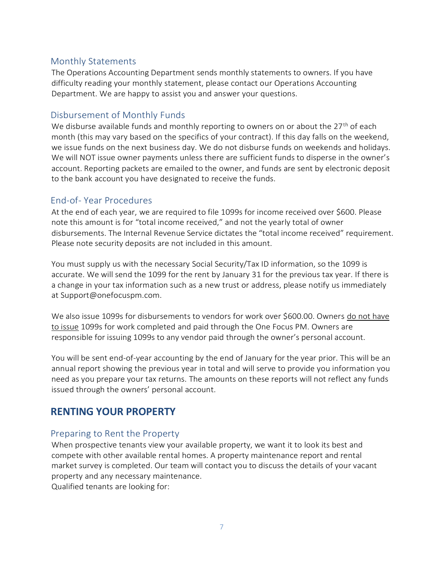# <span id="page-7-0"></span>Monthly Statements

The Operations Accounting Department sends monthly statements to owners. If you have difficulty reading your monthly statement, please contact our Operations Accounting Department. We are happy to assist you and answer your questions.

# <span id="page-7-1"></span>Disbursement of Monthly Funds

We disburse available funds and monthly reporting to owners on or about the  $27<sup>th</sup>$  of each month (this may vary based on the specifics of your contract). If this day falls on the weekend, we issue funds on the next business day. We do not disburse funds on weekends and holidays. We will NOT issue owner payments unless there are sufficient funds to disperse in the owner's account. Reporting packets are emailed to the owner, and funds are sent by electronic deposit to the bank account you have designated to receive the funds.

# <span id="page-7-2"></span>End-of- Year Procedures

At the end of each year, we are required to file 1099s for income received over \$600. Please note this amount is for "total income received," and not the yearly total of owner disbursements. The Internal Revenue Service dictates the "total income received" requirement. Please note security deposits are not included in this amount.

You must supply us with the necessary Social Security/Tax ID information, so the 1099 is accurate. We will send the 1099 for the rent by January 31 for the previous tax year. If there is a change in your tax information such as a new trust or address, please notify us immediately at [Support@onefocuspm.com.](mailto:Support@onefocuspm.com)

We also issue 1099s for disbursements to vendors for work over \$600.00. Owners do not have to issue 1099s for work completed and paid through the One Focus PM. Owners are responsible for issuing 1099s to any vendor paid through the owner's personal account.

You will be sent end-of-year accounting by the end of January for the year prior. This will be an annual report showing the previous year in total and will serve to provide you information you need as you prepare your tax returns. The amounts on these reports will not reflect any funds issued through the owners' personal account.

# <span id="page-7-3"></span>**RENTING YOUR PROPERTY**

# <span id="page-7-4"></span>Preparing to Rent the Property

When prospective tenants view your available property, we want it to look its best and compete with other available rental homes. A property maintenance report and rental market survey is completed. Our team will contact you to discuss the details of your vacant property and any necessary maintenance. Qualified tenants are looking for: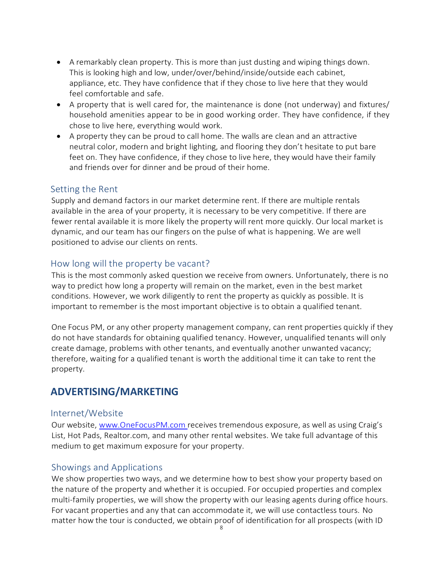- A remarkably clean property. This is more than just dusting and wiping things down. This is looking high and low, under/over/behind/inside/outside each cabinet, appliance, etc. They have confidence that if they chose to live here that they would feel comfortable and safe.
- A property that is well cared for, the maintenance is done (not underway) and fixtures/ household amenities appear to be in good working order. They have confidence, if they chose to live here, everything would work.
- A property they can be proud to call home. The walls are clean and an attractive neutral color, modern and bright lighting, and flooring they don't hesitate to put bare feet on. They have confidence, if they chose to live here, they would have their family and friends over for dinner and be proud of their home.

# <span id="page-8-0"></span>Setting the Rent

Supply and demand factors in our market determine rent. If there are multiple rentals available in the area of your property, it is necessary to be very competitive. If there are fewer rental available it is more likely the property will rent more quickly. Our local market is dynamic, and our team has our fingers on the pulse of what is happening. We are well positioned to advise our clients on rents.

# <span id="page-8-1"></span>How long will the property be vacant?

This is the most commonly asked question we receive from owners. Unfortunately, there is no way to predict how long a property will remain on the market, even in the best market conditions. However, we work diligently to rent the property as quickly as possible. It is important to remember is the most important objective is to obtain a qualified tenant.

One Focus PM, or any other property management company, can rent properties quickly if they do not have standards for obtaining qualified tenancy. However, unqualified tenants will only create damage, problems with other tenants, and eventually another unwanted vacancy; therefore, waiting for a qualified tenant is worth the additional time it can take to rent the property.

# <span id="page-8-2"></span>**ADVERTISING/MARKETING**

# <span id="page-8-3"></span>Internet/Website

Our website, [www.OneFocusPM.com](http://www.onefocuspm.comreceives/) receives tremendous exposure, as well as using Craig's List, Hot Pads, Realtor.com, and many other rental websites. We take full advantage of this medium to get maximum exposure for your property.

# <span id="page-8-4"></span>Showings and Applications

We show properties two ways, and we determine how to best show your property based on the nature of the property and whether it is occupied. For occupied properties and complex multi-family properties, we will show the property with our leasing agents during office hours. For vacant properties and any that can accommodate it, we will use contactless tours. No matter how the tour is conducted, we obtain proof of identification for all prospects (with ID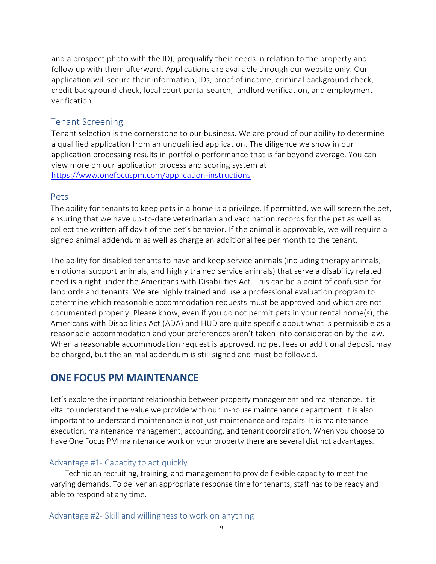and a prospect photo with the ID), prequalify their needs in relation to the property and follow up with them afterward. Applications are available through our website only. Our application will secure their information, IDs, proof of income, criminal background check, credit background check, local court portal search, landlord verification, and employment verification.

#### <span id="page-9-0"></span>Tenant Screening

Tenant selection is the cornerstone to our business. We are proud of our ability to determine a qualified application from an unqualified application. The diligence we show in our application processing results in portfolio performance that is far beyond average. You can view more on our application process and scoring system at <https://www.onefocuspm.com/application-instructions>

#### <span id="page-9-1"></span>Pets

The ability for tenants to keep pets in a home is a privilege. If permitted, we will screen the pet, ensuring that we have up-to-date veterinarian and vaccination records for the pet as well as collect the written affidavit of the pet's behavior. If the animal is approvable, we will require a signed animal addendum as well as charge an additional fee per month to the tenant.

The ability for disabled tenants to have and keep service animals (including therapy animals, emotional support animals, and highly trained service animals) that serve a disability related need is a right under the Americans with Disabilities Act. This can be a point of confusion for landlords and tenants. We are highly trained and use a professional evaluation program to determine which reasonable accommodation requests must be approved and which are not documented properly. Please know, even if you do not permit pets in your rental home(s), the Americans with Disabilities Act (ADA) and HUD are quite specific about what is permissible as a reasonable accommodation and your preferences aren't taken into consideration by the law. When a reasonable accommodation request is approved, no pet fees or additional deposit may be charged, but the animal addendum is still signed and must be followed.

# <span id="page-9-2"></span>**ONE FOCUS PM MAINTENANCE**

Let's explore the important relationship between property management and maintenance. It is vital to understand the value we provide with our in-house maintenance department. It is also important to understand maintenance is not just maintenance and repairs. It is maintenance execution, maintenance management, accounting, and tenant coordination. When you choose to have One Focus PM maintenance work on your property there are several distinct advantages.

#### Advantage #1- Capacity to act quickly

Technician recruiting, training, and management to provide flexible capacity to meet the varying demands. To deliver an appropriate response time for tenants, staff has to be ready and able to respond at any time.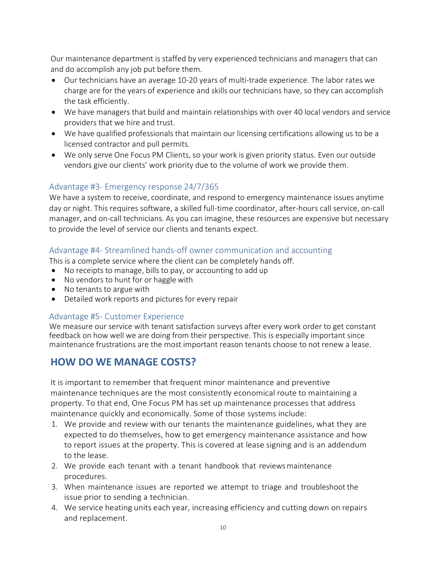Our maintenance department is staffed by very experienced technicians and managers that can and do accomplish any job put before them.

- Our technicians have an average 10-20 years of multi-trade experience. The labor rates we charge are for the years of experience and skills our technicians have, so they can accomplish the task efficiently.
- We have managers that build and maintain relationships with over 40 local vendors and service providers that we hire and trust.
- We have qualified professionals that maintain our licensing certifications allowing us to be a licensed contractor and pull permits.
- We only serve One Focus PM Clients, so your work is given priority status. Even our outside vendors give our clients' work priority due to the volume of work we provide them.

#### Advantage #3- Emergency response 24/7/365

We have a system to receive, coordinate, and respond to emergency maintenance issues anytime day or night. This requires software, a skilled full-time coordinator, after-hours call service, on-call manager, and on-call technicians. As you can imagine, these resources are expensive but necessary to provide the level of service our clients and tenants expect.

#### Advantage #4- Streamlined hands-off owner communication and accounting

This is a complete service where the client can be completely hands off.

- No receipts to manage, bills to pay, or accounting to add up
- No vendors to hunt for or haggle with
- No tenants to argue with
- Detailed work reports and pictures for every repair

#### Advantage #5- Customer Experience

We measure our service with tenant satisfaction surveys after every work order to get constant feedback on how well we are doing from their perspective. This is especially important since maintenance frustrations are the most important reason tenants choose to not renew a lease.

# **HOW DO WE MANAGE COSTS?**

It is important to remember that frequent minor maintenance and preventive maintenance techniques are the most consistently economical route to maintaining a property. To that end, One Focus PM has set up maintenance processes that address maintenance quickly and economically. Some of those systems include:

- 1. We provide and review with our tenants the maintenance guidelines, what they are expected to do themselves, how to get emergency maintenance assistance and how to report issues at the property. This is covered at lease signing and is an addendum to the lease.
- 2. We provide each tenant with a tenant handbook that reviewsmaintenance procedures.
- 3. When maintenance issues are reported we attempt to triage and troubleshoot the issue prior to sending a technician.
- 4. We service heating units each year, increasing efficiency and cutting down on repairs and replacement.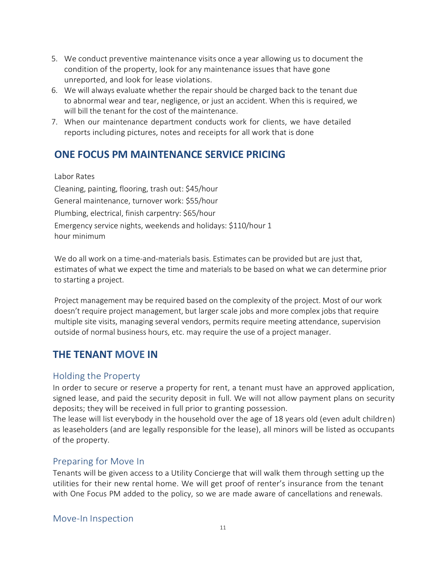- 5. We conduct preventive maintenance visits once a year allowing us to document the condition of the property, look for any maintenance issues that have gone unreported, and look for lease violations.
- 6. We will always evaluate whether the repair should be charged back to the tenant due to abnormal wear and tear, negligence, or just an accident. When this is required, we will bill the tenant for the cost of the maintenance.
- 7. When our maintenance department conducts work for clients, we have detailed reports including pictures, notes and receipts for all work that is done

# **ONE FOCUS PM MAINTENANCE SERVICE PRICING**

#### Labor Rates

Cleaning, painting, flooring, trash out: \$45/hour General maintenance, turnover work: \$55/hour Plumbing, electrical, finish carpentry: \$65/hour Emergency service nights, weekends and holidays: \$110/hour 1 hour minimum

We do all work on a time-and-materials basis. Estimates can be provided but are just that, estimates of what we expect the time and materials to be based on what we can determine prior to starting a project.

Project management may be required based on the complexity of the project. Most of our work doesn't require project management, but larger scale jobs and more complex jobs that require multiple site visits, managing several vendors, permits require meeting attendance, supervision outside of normal business hours, etc. may require the use of a project manager.

# <span id="page-11-0"></span>**THE TENANT MOVE IN**

# <span id="page-11-1"></span>Holding the Property

In order to secure or reserve a property for rent, a tenant must have an approved application, signed lease, and paid the security deposit in full. We will not allow payment plans on security deposits; they will be received in full prior to granting possession.

The lease will list everybody in the household over the age of 18 years old (even adult children) as leaseholders (and are legally responsible for the lease), all minors will be listed as occupants of the property.

# <span id="page-11-2"></span>Preparing for Move In

<span id="page-11-3"></span>Tenants will be given access to a Utility Concierge that will walk them through setting up the utilities for their new rental home. We will get proof of renter's insurance from the tenant with One Focus PM added to the policy, so we are made aware of cancellations and renewals.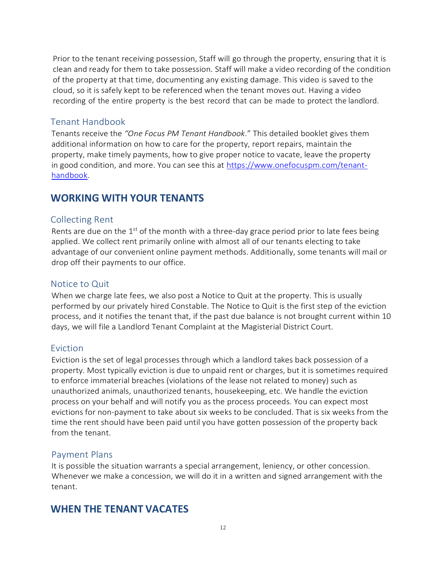Prior to the tenant receiving possession, Staff will go through the property, ensuring that it is clean and ready for them to take possession. Staff will make a video recording of the condition of the property at that time, documenting any existing damage. This video is saved to the cloud, so it is safely kept to be referenced when the tenant moves out. Having a video recording of the entire property is the best record that can be made to protect the landlord.

# <span id="page-12-0"></span>Tenant Handbook

Tenants receive the *"One Focus PM Tenant Handbook*." This detailed booklet gives them additional information on how to care for the property, report repairs, maintain the property, make timely payments, how to give proper notice to vacate, leave the property in good condition, and more. You can see this at [https://www.onefocuspm.com/tenant](https://www.onefocuspm.com/tenant-handbook)[handbook.](https://www.onefocuspm.com/tenant-handbook)

# <span id="page-12-1"></span>**WORKING WITH YOUR TENANTS**

# <span id="page-12-2"></span>Collecting Rent

Rents are due on the  $1<sup>st</sup>$  of the month with a three-day grace period prior to late fees being applied. We collect rent primarily online with almost all of our tenants electing to take advantage of our convenient online payment methods. Additionally, some tenants will mail or drop off their payments to our office.

# <span id="page-12-3"></span>Notice to Quit

When we charge late fees, we also post a Notice to Quit at the property. This is usually performed by our privately hired Constable. The Notice to Quit is the first step of the eviction process, and it notifies the tenant that, if the past due balance is not brought current within 10 days, we will file a Landlord Tenant Complaint at the Magisterial District Court.

# <span id="page-12-4"></span>Eviction

Eviction is the set of legal processes through which a landlord takes back possession of a property. Most typically eviction is due to unpaid rent or charges, but it is sometimes required to enforce immaterial breaches (violations of the lease not related to money) such as unauthorized animals, unauthorized tenants, housekeeping, etc. We handle the eviction process on your behalf and will notify you as the process proceeds. You can expect most evictions for non-payment to take about six weeks to be concluded. That is six weeks from the time the rent should have been paid until you have gotten possession of the property back from the tenant.

# <span id="page-12-5"></span>Payment Plans

It is possible the situation warrants a special arrangement, leniency, or other concession. Whenever we make a concession, we will do it in a written and signed arrangement with the tenant.

# <span id="page-12-6"></span>**WHEN THE TENANT VACATES**